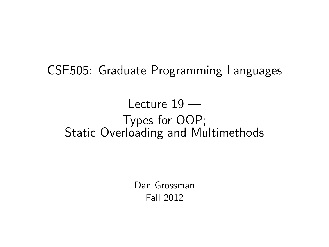CSE505: Graduate Programming Languages

### Lecture 19 — Types for OOP; Static Overloading and Multimethods

<span id="page-0-0"></span>Dan Grossman Fall 2012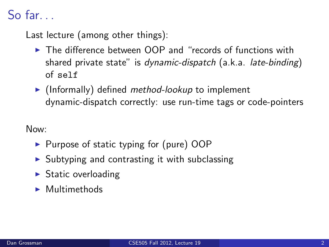# So far.

Last lecture (among other things):

- $\triangleright$  The difference between OOP and "records of functions with shared private state" is dynamic-dispatch (a.k.a. late-binding) of self
- $\blacktriangleright$  (Informally) defined *method-lookup* to implement dynamic-dispatch correctly: use run-time tags or code-pointers

Now:

- $\triangleright$  Purpose of static typing for (pure) OOP
- $\triangleright$  Subtyping and contrasting it with subclassing
- $\triangleright$  Static overloading
- $\blacktriangleright$  Multimethods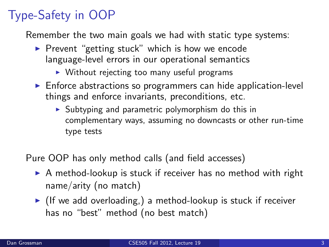# Type-Safety in OOP

Remember the two main goals we had with static type systems:

- $\triangleright$  Prevent "getting stuck" which is how we encode language-level errors in our operational semantics
	- $\triangleright$  Without rejecting too many useful programs
- $\triangleright$  Enforce abstractions so programmers can hide application-level things and enforce invariants, preconditions, etc.
	- $\triangleright$  Subtyping and parametric polymorphism do this in complementary ways, assuming no downcasts or other run-time type tests

Pure OOP has only method calls (and field accesses)

- $\triangleright$  A method-lookup is stuck if receiver has no method with right name/arity (no match)
- If we add overloading, a method-lookup is stuck if receiver has no "best" method (no best match)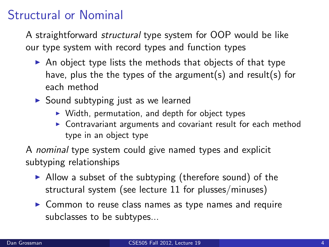### Structural or Nominal

A straightforward structural type system for OOP would be like our type system with record types and function types

- $\triangleright$  An object type lists the methods that objects of that type have, plus the the types of the argument(s) and result(s) for each method
- $\triangleright$  Sound subtyping just as we learned
	- $\triangleright$  Width, permutation, and depth for object types
	- $\triangleright$  Contravariant arguments and covariant result for each method type in an object type

A nominal type system could give named types and explicit subtyping relationships

- $\triangleright$  Allow a subset of the subtyping (therefore sound) of the structural system (see lecture 11 for plusses/minuses)
- $\triangleright$  Common to reuse class names as type names and require subclasses to be subtypes...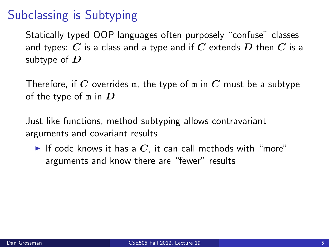## Subclassing is Subtyping

Statically typed OOP languages often purposely "confuse" classes and types: C is a class and a type and if C extends D then C is a subtype of  $D$ 

Therefore, if C overrides m, the type of m in C must be a subtype of the type of  $m$  in  $D$ 

Just like functions, method subtyping allows contravariant arguments and covariant results

If code knows it has a  $C$ , it can call methods with "more" arguments and know there are "fewer" results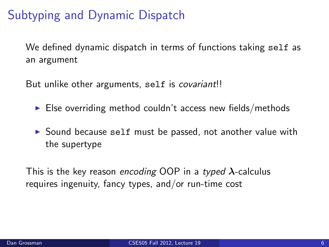## Subtyping and Dynamic Dispatch

We defined dynamic dispatch in terms of functions taking self as an argument

But unlike other arguments, self is *covariant*!!

- $\blacktriangleright$  Else overriding method couldn't access new fields/methods
- $\triangleright$  Sound because self must be passed, not another value with the supertype

This is the key reason encoding OOP in a typed  $\lambda$ -calculus requires ingenuity, fancy types, and/or run-time cost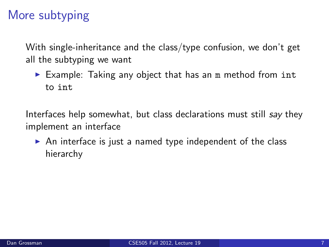## More subtyping

With single-inheritance and the class/type confusion, we don't get all the subtyping we want

Example: Taking any object that has an m method from int to int

Interfaces help somewhat, but class declarations must still say they implement an interface

 $\triangleright$  An interface is just a named type independent of the class hierarchy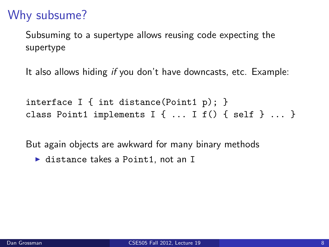## Why subsume?

Subsuming to a supertype allows reusing code expecting the supertype

It also allows hiding if you don't have downcasts, etc. Example:

interface I { int distance(Point1 p); } class Point1 implements  $I \{ ... I f() \{ self \} ... \}$ 

But again objects are awkward for many binary methods

 $\blacktriangleright$  distance takes a Point1, not an I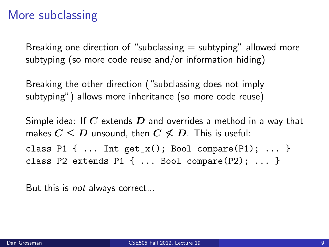## More subclassing

Breaking one direction of "subclassing  $=$  subtyping" allowed more subtyping (so more code reuse and/or information hiding)

Breaking the other direction ("subclassing does not imply subtyping") allows more inheritance (so more code reuse)

Simple idea: If C extends D and overrides a method in a way that makes  $C \leq D$  unsound, then  $C \not\leq D$ . This is useful: class P1  $\{ \dots$  Int  $get_x()$ ; Bool compare(P1);  $\dots$  }

class P2 extends P1  $\{ \ldots$  Bool compare(P2);  $\ldots$  }

But this is not always correct...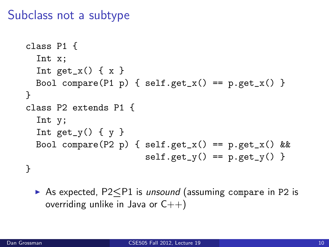#### Subclass not a subtype

```
class P1 {
  Int x;
  Int get_x() \{ x \}Bool compare(P1 p) { self.get_x() == p.get_x()}
}
class P2 extends P1 {
  Int y;
  Int get_y() \{y\}Bool compare(P2 p) { self.get_x() == p.get_x() &self.get_y() == p.get_y()}
```
► As expected, P2<P1 is *unsound* (assuming compare in P2 is overriding unlike in Java or  $C_{++}$ )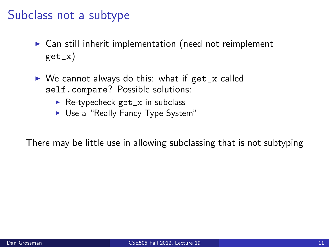#### Subclass not a subtype

- $\triangleright$  Can still inherit implementation (need not reimplement get\_x)
- $\triangleright$  We cannot always do this: what if get\_x called self.compare? Possible solutions:
	- $\triangleright$  Re-typecheck get\_x in subclass
	- ► Use a "Really Fancy Type System"

There may be little use in allowing subclassing that is not subtyping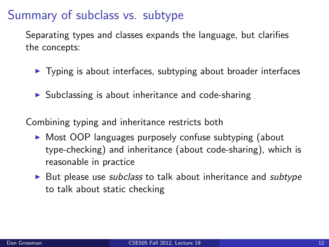### Summary of subclass vs. subtype

Separating types and classes expands the language, but clarifies the concepts:

- $\triangleright$  Typing is about interfaces, subtyping about broader interfaces
- $\triangleright$  Subclassing is about inheritance and code-sharing

Combining typing and inheritance restricts both

- $\triangleright$  Most OOP languages purposely confuse subtyping (about type-checking) and inheritance (about code-sharing), which is reasonable in practice
- $\triangleright$  But please use subclass to talk about inheritance and subtype to talk about static checking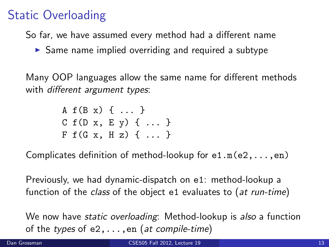## Static Overloading

So far, we have assumed every method had a different name

 $\triangleright$  Same name implied overriding and required a subtype

Many OOP languages allow the same name for different methods with *different argument types*:

> A f(B x) { ... }  $C f(D x, E y) \{ ... \}$  $F f(G x, H z) \{ \ldots \}$

Complicates definition of method-lookup for e1.m(e2,...,en)

Previously, we had dynamic-dispatch on e1: method-lookup a function of the class of the object e1 evaluates to (at run-time)

We now have *static overloading*: Method-lookup is also a function of the types of  $e_2, \ldots, e_n$  (at compile-time)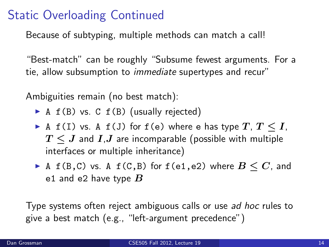### Static Overloading Continued

Because of subtyping, multiple methods can match a call!

"Best-match" can be roughly "Subsume fewest arguments. For a tie, allow subsumption to immediate supertypes and recur"

Ambiguities remain (no best match):

- $\triangleright$  A f(B) vs. C f(B) (usually rejected)
- A f(I) vs. A f(J) for f(e) where e has type  $T, T \leq I$ ,  $T \leq J$  and  $I,J$  are incomparable (possible with multiple interfaces or multiple inheritance)
- ▶ A f(B,C) vs. A f(C,B) for f(e1,e2) where  $B \le C$ , and e1 and e2 have type  $B$

Type systems often reject ambiguous calls or use ad hoc rules to give a best match (e.g., "left-argument precedence")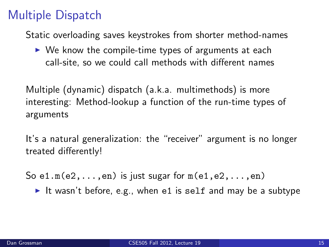## Multiple Dispatch

Static overloading saves keystrokes from shorter method-names

 $\triangleright$  We know the compile-time types of arguments at each call-site, so we could call methods with different names

Multiple (dynamic) dispatch (a.k.a. multimethods) is more interesting: Method-lookup a function of the run-time types of arguments

It's a natural generalization: the "receiver" argument is no longer treated differently!

So  $e1.m(e2,...,en)$  is just sugar for  $m(e1,e2,...,en)$ 

It wasn't before, e.g., when e1 is self and may be a subtype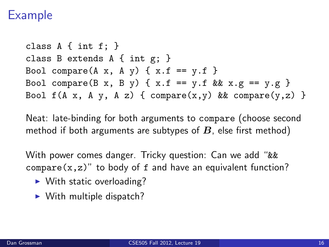#### Example

class  $A \{ int f: \}$ class B extends A { int g; } Bool compare(A x, A y)  $\{ x.f == y.f \}$ Bool compare(B x, B y) {  $x.f == y.f$  &&  $x.g == y.g$  } Bool  $f(A \times, A \vee, A \vee)$  { compare(x, y) && compare(y,z) }

Neat: late-binding for both arguments to compare (choose second method if both arguments are subtypes of  $B$ , else first method)

With power comes danger. Tricky question: Can we add "&&  $compare(x, z)$ " to body of f and have an equivalent function?

- $\blacktriangleright$  With static overloading?
- $\triangleright$  With multiple dispatch?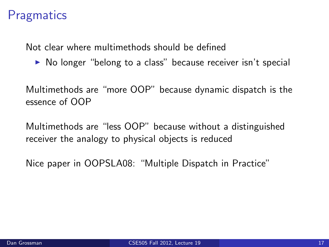## **Pragmatics**

Not clear where multimethods should be defined

 $\triangleright$  No longer "belong to a class" because receiver isn't special

Multimethods are "more OOP" because dynamic dispatch is the essence of OOP

Multimethods are "less OOP" because without a distinguished receiver the analogy to physical objects is reduced

Nice paper in OOPSLA08: "Multiple Dispatch in Practice"